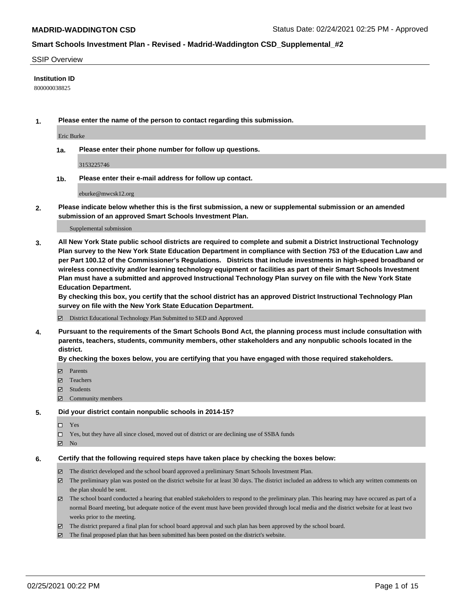#### SSIP Overview

## **Institution ID**

800000038825

**1. Please enter the name of the person to contact regarding this submission.**

Eric Burke

**1a. Please enter their phone number for follow up questions.**

3153225746

**1b. Please enter their e-mail address for follow up contact.**

eburke@mwcsk12.org

**2. Please indicate below whether this is the first submission, a new or supplemental submission or an amended submission of an approved Smart Schools Investment Plan.**

#### Supplemental submission

**3. All New York State public school districts are required to complete and submit a District Instructional Technology Plan survey to the New York State Education Department in compliance with Section 753 of the Education Law and per Part 100.12 of the Commissioner's Regulations. Districts that include investments in high-speed broadband or wireless connectivity and/or learning technology equipment or facilities as part of their Smart Schools Investment Plan must have a submitted and approved Instructional Technology Plan survey on file with the New York State Education Department.** 

**By checking this box, you certify that the school district has an approved District Instructional Technology Plan survey on file with the New York State Education Department.**

District Educational Technology Plan Submitted to SED and Approved

**4. Pursuant to the requirements of the Smart Schools Bond Act, the planning process must include consultation with parents, teachers, students, community members, other stakeholders and any nonpublic schools located in the district.** 

## **By checking the boxes below, you are certifying that you have engaged with those required stakeholders.**

- **Ø** Parents
- Teachers
- Students
- $\Xi$  Community members

### **5. Did your district contain nonpublic schools in 2014-15?**

- □ Yes
- □ Yes, but they have all since closed, moved out of district or are declining use of SSBA funds
- **Ø** No

## **6. Certify that the following required steps have taken place by checking the boxes below:**

- The district developed and the school board approved a preliminary Smart Schools Investment Plan.
- The preliminary plan was posted on the district website for at least 30 days. The district included an address to which any written comments on the plan should be sent.
- The school board conducted a hearing that enabled stakeholders to respond to the preliminary plan. This hearing may have occured as part of a normal Board meeting, but adequate notice of the event must have been provided through local media and the district website for at least two weeks prior to the meeting.
- The district prepared a final plan for school board approval and such plan has been approved by the school board.
- $\boxtimes$  The final proposed plan that has been submitted has been posted on the district's website.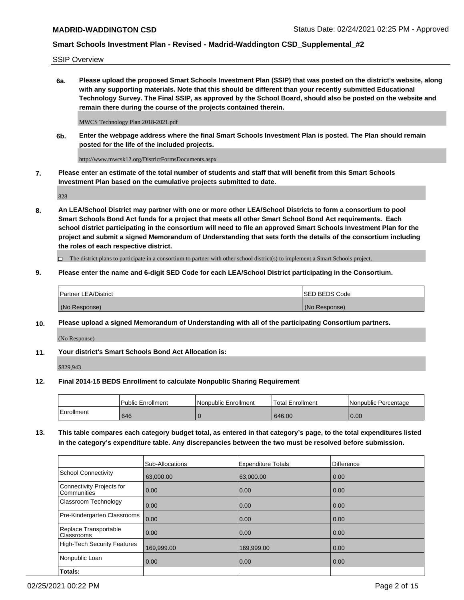SSIP Overview

**6a. Please upload the proposed Smart Schools Investment Plan (SSIP) that was posted on the district's website, along with any supporting materials. Note that this should be different than your recently submitted Educational Technology Survey. The Final SSIP, as approved by the School Board, should also be posted on the website and remain there during the course of the projects contained therein.**

MWCS Technology Plan 2018-2021.pdf

**6b. Enter the webpage address where the final Smart Schools Investment Plan is posted. The Plan should remain posted for the life of the included projects.**

http://www.mwcsk12.org/DistrictFormsDocuments.aspx

**7. Please enter an estimate of the total number of students and staff that will benefit from this Smart Schools Investment Plan based on the cumulative projects submitted to date.**

828

**8. An LEA/School District may partner with one or more other LEA/School Districts to form a consortium to pool Smart Schools Bond Act funds for a project that meets all other Smart School Bond Act requirements. Each school district participating in the consortium will need to file an approved Smart Schools Investment Plan for the project and submit a signed Memorandum of Understanding that sets forth the details of the consortium including the roles of each respective district.**

 $\Box$  The district plans to participate in a consortium to partner with other school district(s) to implement a Smart Schools project.

## **9. Please enter the name and 6-digit SED Code for each LEA/School District participating in the Consortium.**

| Partner LEA/District | <b>ISED BEDS Code</b> |
|----------------------|-----------------------|
| (No Response)        | (No Response)         |

## **10. Please upload a signed Memorandum of Understanding with all of the participating Consortium partners.**

(No Response)

**11. Your district's Smart Schools Bond Act Allocation is:**

\$829,943

## **12. Final 2014-15 BEDS Enrollment to calculate Nonpublic Sharing Requirement**

|            | Public Enrollment | Nonpublic Enrollment | Total Enrollment | Nonpublic Percentage |
|------------|-------------------|----------------------|------------------|----------------------|
| Enrollment | 646               |                      | 646.00           | 0.00                 |

**13. This table compares each category budget total, as entered in that category's page, to the total expenditures listed in the category's expenditure table. Any discrepancies between the two must be resolved before submission.**

|                                          | Sub-Allocations | <b>Expenditure Totals</b> | <b>Difference</b> |
|------------------------------------------|-----------------|---------------------------|-------------------|
| <b>School Connectivity</b>               | 63,000.00       | 63,000.00                 | 0.00              |
| Connectivity Projects for<br>Communities | 0.00            | 0.00                      | 0.00              |
| Classroom Technology                     | 0.00            | 0.00                      | 0.00              |
| Pre-Kindergarten Classrooms              | 0.00            | 0.00                      | 0.00              |
| Replace Transportable<br>Classrooms      | 0.00            | 0.00                      | 0.00              |
| High-Tech Security Features              | 169,999.00      | 169,999.00                | 0.00              |
| Nonpublic Loan                           | 0.00            | 0.00                      | 0.00              |
| Totals:                                  |                 |                           |                   |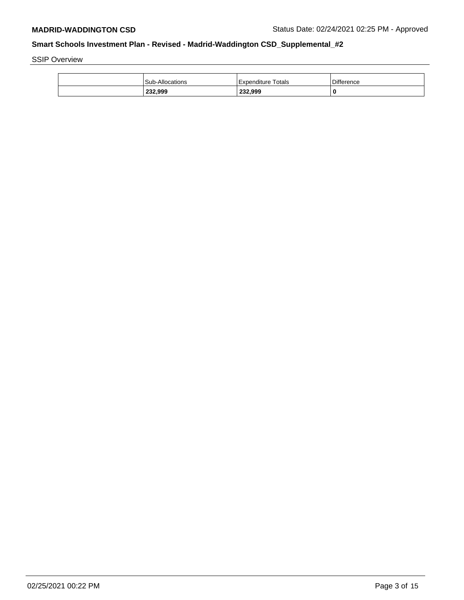SSIP Overview

|  | <b>Sub-Allocations</b> | Expenditure Totals | <b>Difference</b> |
|--|------------------------|--------------------|-------------------|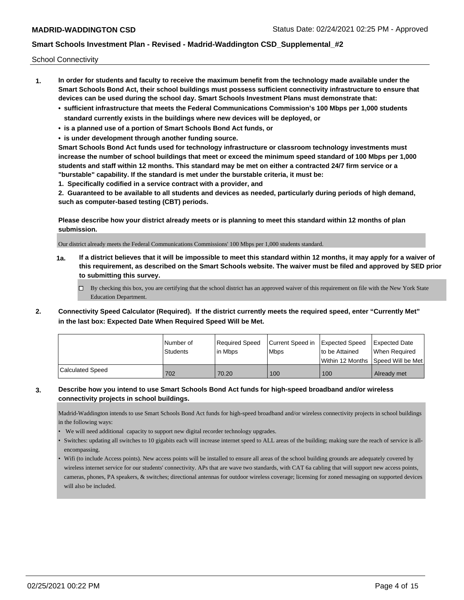School Connectivity

- **1. In order for students and faculty to receive the maximum benefit from the technology made available under the Smart Schools Bond Act, their school buildings must possess sufficient connectivity infrastructure to ensure that devices can be used during the school day. Smart Schools Investment Plans must demonstrate that:**
	- **• sufficient infrastructure that meets the Federal Communications Commission's 100 Mbps per 1,000 students standard currently exists in the buildings where new devices will be deployed, or**
	- **• is a planned use of a portion of Smart Schools Bond Act funds, or**
	- **• is under development through another funding source.**

**Smart Schools Bond Act funds used for technology infrastructure or classroom technology investments must increase the number of school buildings that meet or exceed the minimum speed standard of 100 Mbps per 1,000 students and staff within 12 months. This standard may be met on either a contracted 24/7 firm service or a "burstable" capability. If the standard is met under the burstable criteria, it must be:**

**1. Specifically codified in a service contract with a provider, and**

**2. Guaranteed to be available to all students and devices as needed, particularly during periods of high demand, such as computer-based testing (CBT) periods.**

**Please describe how your district already meets or is planning to meet this standard within 12 months of plan submission.**

Our district already meets the Federal Communications Commissions' 100 Mbps per 1,000 students standard.

**1a. If a district believes that it will be impossible to meet this standard within 12 months, it may apply for a waiver of this requirement, as described on the Smart Schools website. The waiver must be filed and approved by SED prior to submitting this survey.**

 $\Box$  By checking this box, you are certifying that the school district has an approved waiver of this requirement on file with the New York State Education Department.

**2. Connectivity Speed Calculator (Required). If the district currently meets the required speed, enter "Currently Met" in the last box: Expected Date When Required Speed Will be Met.**

|                  | I Number of     | Required Speed | Current Speed in   Expected Speed |                | <b>Expected Date</b>                    |
|------------------|-----------------|----------------|-----------------------------------|----------------|-----------------------------------------|
|                  | <b>Students</b> | lin Mbps       | <b>Mbps</b>                       | to be Attained | When Required                           |
|                  |                 |                |                                   |                | l Within 12 Months ISpeed Will be Met l |
| Calculated Speed | 702             | 70.20          | 100                               | 100            | Already met                             |

## **3. Describe how you intend to use Smart Schools Bond Act funds for high-speed broadband and/or wireless connectivity projects in school buildings.**

Madrid-Waddington intends to use Smart Schools Bond Act funds for high-speed broadband and/or wireless connectivity projects in school buildings in the following ways:

- We will need additional capacity to support new digital recorder technology upgrades.
- Switches: updating all switches to 10 gigabits each will increase internet speed to ALL areas of the building; making sure the reach of service is allencompassing.
- Wifi (to include Access points). New access points will be installed to ensure all areas of the school building grounds are adequately covered by wireless internet service for our students' connectivity. APs that are wave two standards, with CAT 6a cabling that will support new access points, cameras, phones, PA speakers, & switches; directional antennas for outdoor wireless coverage; licensing for zoned messaging on supported devices will also be included.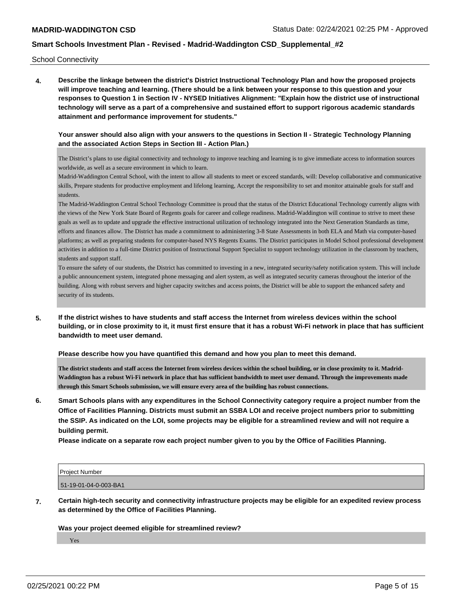School Connectivity

**4. Describe the linkage between the district's District Instructional Technology Plan and how the proposed projects will improve teaching and learning. (There should be a link between your response to this question and your responses to Question 1 in Section IV - NYSED Initiatives Alignment: "Explain how the district use of instructional technology will serve as a part of a comprehensive and sustained effort to support rigorous academic standards attainment and performance improvement for students."** 

## **Your answer should also align with your answers to the questions in Section II - Strategic Technology Planning and the associated Action Steps in Section III - Action Plan.)**

The District's plans to use digital connectivity and technology to improve teaching and learning is to give immediate access to information sources worldwide, as well as a secure environment in which to learn.

Madrid-Waddington Central School, with the intent to allow all students to meet or exceed standards, will: Develop collaborative and communicative skills, Prepare students for productive employment and lifelong learning, Accept the responsibility to set and monitor attainable goals for staff and students.

The Madrid-Waddington Central School Technology Committee is proud that the status of the District Educational Technology currently aligns with the views of the New York State Board of Regents goals for career and college readiness. Madrid-Waddington will continue to strive to meet these goals as well as to update and upgrade the effective instructional utilization of technology integrated into the Next Generation Standards as time, efforts and finances allow. The District has made a commitment to administering 3-8 State Assessments in both ELA and Math via computer-based platforms; as well as preparing students for computer-based NYS Regents Exams. The District participates in Model School professional development activities in addition to a full-time District position of Instructional Support Specialist to support technology utilization in the classroom by teachers, students and support staff.

To ensure the safety of our students, the District has committed to investing in a new, integrated security/safety notification system. This will include a public announcement system, integrated phone messaging and alert system, as well as integrated security cameras throughout the interior of the building. Along with robust servers and higher capacity switches and access points, the District will be able to support the enhanced safety and security of its students.

**5. If the district wishes to have students and staff access the Internet from wireless devices within the school building, or in close proximity to it, it must first ensure that it has a robust Wi-Fi network in place that has sufficient bandwidth to meet user demand.**

**Please describe how you have quantified this demand and how you plan to meet this demand.**

**The district students and staff access the Internet from wireless devices within the school building, or in close proximity to it. Madrid-Waddington has a robust Wi-Fi network in place that has sufficient bandwidth to meet user demand. Through the improvements made through this Smart Schools submission, we will ensure every area of the building has robust connections.**

**6. Smart Schools plans with any expenditures in the School Connectivity category require a project number from the Office of Facilities Planning. Districts must submit an SSBA LOI and receive project numbers prior to submitting the SSIP. As indicated on the LOI, some projects may be eligible for a streamlined review and will not require a building permit.**

**Please indicate on a separate row each project number given to you by the Office of Facilities Planning.**

| Project Number        |  |
|-----------------------|--|
| 51-19-01-04-0-003-BA1 |  |

**7. Certain high-tech security and connectivity infrastructure projects may be eligible for an expedited review process as determined by the Office of Facilities Planning.**

**Was your project deemed eligible for streamlined review?**

Yes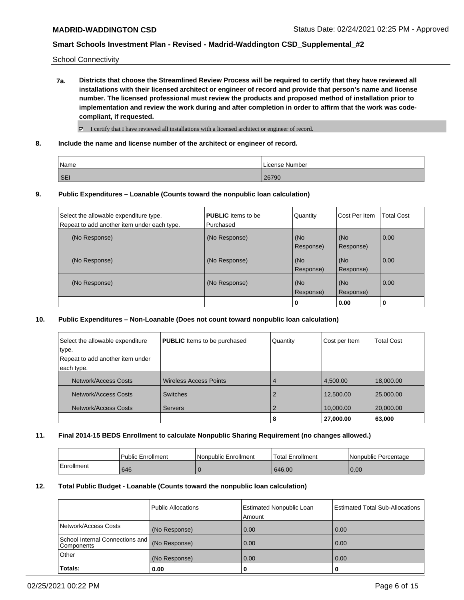School Connectivity

**7a. Districts that choose the Streamlined Review Process will be required to certify that they have reviewed all installations with their licensed architect or engineer of record and provide that person's name and license number. The licensed professional must review the products and proposed method of installation prior to implementation and review the work during and after completion in order to affirm that the work was codecompliant, if requested.**

 $\boxtimes$  I certify that I have reviewed all installations with a licensed architect or engineer of record.

**8. Include the name and license number of the architect or engineer of record.**

| Name       | License Number |
|------------|----------------|
| <b>SEI</b> | 26790          |

### **9. Public Expenditures – Loanable (Counts toward the nonpublic loan calculation)**

| Select the allowable expenditure type.      | <b>PUBLIC</b> Items to be | Quantity  | Cost Per Item | <b>Total Cost</b> |
|---------------------------------------------|---------------------------|-----------|---------------|-------------------|
| Repeat to add another item under each type. | Purchased                 |           |               |                   |
| (No Response)                               | (No Response)             | (No       | (No           | 0.00              |
|                                             |                           | Response) | Response)     |                   |
| (No Response)                               | (No Response)             | (No       | (No           | 0.00              |
|                                             |                           | Response) | Response)     |                   |
| (No Response)                               | (No Response)             | (No       | (No           | 0.00              |
|                                             |                           | Response) | Response)     |                   |
|                                             |                           | 0         | 0.00          | 0                 |

#### **10. Public Expenditures – Non-Loanable (Does not count toward nonpublic loan calculation)**

| Select the allowable expenditure | <b>PUBLIC</b> Items to be purchased | Quantity | Cost per Item | <b>Total Cost</b> |
|----------------------------------|-------------------------------------|----------|---------------|-------------------|
| type.                            |                                     |          |               |                   |
| Repeat to add another item under |                                     |          |               |                   |
| each type.                       |                                     |          |               |                   |
| Network/Access Costs             | <b>Wireless Access Points</b>       | 4        | 4,500.00      | 18,000.00         |
| Network/Access Costs             | <b>Switches</b>                     |          | 12,500.00     | 25,000.00         |
| Network/Access Costs             | <b>Servers</b>                      |          | 10,000.00     | 20,000.00         |
|                                  |                                     | 8        | 27,000.00     | 63,000            |

#### **11. Final 2014-15 BEDS Enrollment to calculate Nonpublic Sharing Requirement (no changes allowed.)**

|            | Public Enrollment | Nonpublic Enrollment | Total Enrollment | l Nonpublic Percentage |
|------------|-------------------|----------------------|------------------|------------------------|
| Enrollment | 646               |                      | 646.00           | 0.00                   |

### **12. Total Public Budget - Loanable (Counts toward the nonpublic loan calculation)**

|                                                 | Public Allocations | <b>Estimated Nonpublic Loan</b><br>Amount | <b>Estimated Total Sub-Allocations</b> |
|-------------------------------------------------|--------------------|-------------------------------------------|----------------------------------------|
| Network/Access Costs                            | (No Response)      | 0.00                                      | 0.00                                   |
| School Internal Connections and  <br>Components | (No Response)      | 0.00                                      | 0.00                                   |
| Other                                           | (No Response)      | 0.00                                      | 0.00                                   |
| Totals:                                         | 0.00               | 0                                         | 0                                      |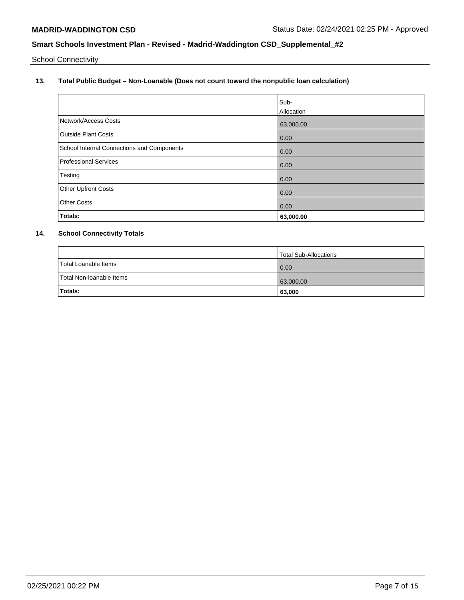School Connectivity

**13. Total Public Budget – Non-Loanable (Does not count toward the nonpublic loan calculation)**

|                                                   | Sub-       |
|---------------------------------------------------|------------|
|                                                   | Allocation |
| Network/Access Costs                              | 63,000.00  |
| <b>Outside Plant Costs</b>                        | 0.00       |
| <b>School Internal Connections and Components</b> | 0.00       |
| <b>Professional Services</b>                      | 0.00       |
| Testing                                           | 0.00       |
| <b>Other Upfront Costs</b>                        | 0.00       |
| <b>Other Costs</b>                                | 0.00       |
| Totals:                                           | 63,000.00  |

# **14. School Connectivity Totals**

|                          | Total Sub-Allocations |
|--------------------------|-----------------------|
| Total Loanable Items     | 0.00                  |
| Total Non-Ioanable Items | 63,000.00             |
| Totals:                  | 63,000                |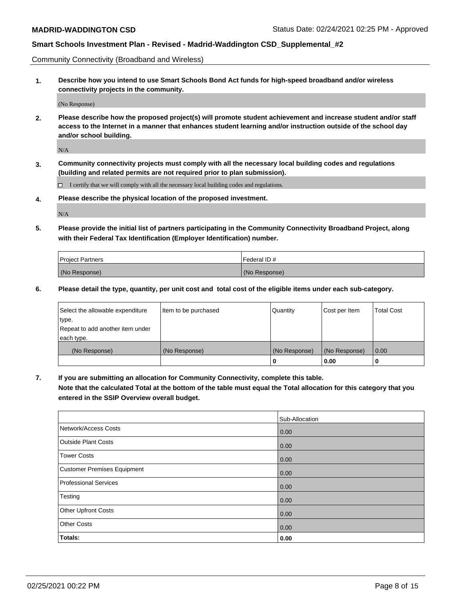Community Connectivity (Broadband and Wireless)

**1. Describe how you intend to use Smart Schools Bond Act funds for high-speed broadband and/or wireless connectivity projects in the community.**

(No Response)

**2. Please describe how the proposed project(s) will promote student achievement and increase student and/or staff access to the Internet in a manner that enhances student learning and/or instruction outside of the school day and/or school building.**

N/A

**3. Community connectivity projects must comply with all the necessary local building codes and regulations (building and related permits are not required prior to plan submission).**

 $\Box$  I certify that we will comply with all the necessary local building codes and regulations.

**4. Please describe the physical location of the proposed investment.**

N/A

**5. Please provide the initial list of partners participating in the Community Connectivity Broadband Project, along with their Federal Tax Identification (Employer Identification) number.**

| <b>Project Partners</b> | l Federal ID # |
|-------------------------|----------------|
| (No Response)           | (No Response)  |

**6. Please detail the type, quantity, per unit cost and total cost of the eligible items under each sub-category.**

| Select the allowable expenditure | Item to be purchased | Quantity      | Cost per Item | <b>Total Cost</b> |
|----------------------------------|----------------------|---------------|---------------|-------------------|
| type.                            |                      |               |               |                   |
| Repeat to add another item under |                      |               |               |                   |
| each type.                       |                      |               |               |                   |
| (No Response)                    | (No Response)        | (No Response) | (No Response) | 0.00              |
|                                  |                      | o             | 0.00          |                   |

**7. If you are submitting an allocation for Community Connectivity, complete this table.**

**Note that the calculated Total at the bottom of the table must equal the Total allocation for this category that you entered in the SSIP Overview overall budget.**

|                                    | Sub-Allocation |
|------------------------------------|----------------|
| Network/Access Costs               | 0.00           |
| <b>Outside Plant Costs</b>         | 0.00           |
| <b>Tower Costs</b>                 | 0.00           |
| <b>Customer Premises Equipment</b> | 0.00           |
| <b>Professional Services</b>       | 0.00           |
| Testing                            | 0.00           |
| Other Upfront Costs                | 0.00           |
| <b>Other Costs</b>                 | 0.00           |
| Totals:                            | 0.00           |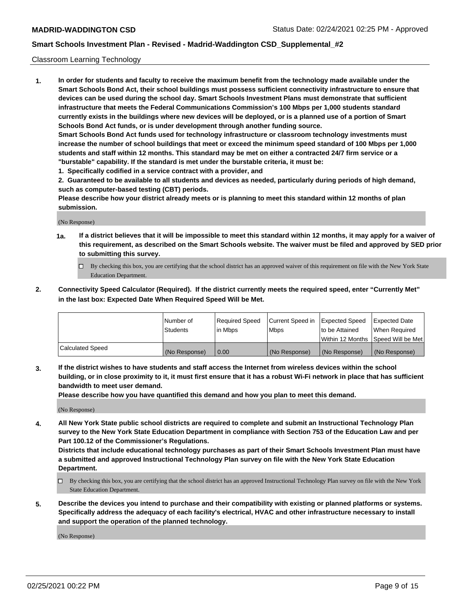## Classroom Learning Technology

**1. In order for students and faculty to receive the maximum benefit from the technology made available under the Smart Schools Bond Act, their school buildings must possess sufficient connectivity infrastructure to ensure that devices can be used during the school day. Smart Schools Investment Plans must demonstrate that sufficient infrastructure that meets the Federal Communications Commission's 100 Mbps per 1,000 students standard currently exists in the buildings where new devices will be deployed, or is a planned use of a portion of Smart Schools Bond Act funds, or is under development through another funding source. Smart Schools Bond Act funds used for technology infrastructure or classroom technology investments must increase the number of school buildings that meet or exceed the minimum speed standard of 100 Mbps per 1,000 students and staff within 12 months. This standard may be met on either a contracted 24/7 firm service or a**

**"burstable" capability. If the standard is met under the burstable criteria, it must be:**

**1. Specifically codified in a service contract with a provider, and**

**2. Guaranteed to be available to all students and devices as needed, particularly during periods of high demand, such as computer-based testing (CBT) periods.**

**Please describe how your district already meets or is planning to meet this standard within 12 months of plan submission.**

(No Response)

- **1a. If a district believes that it will be impossible to meet this standard within 12 months, it may apply for a waiver of this requirement, as described on the Smart Schools website. The waiver must be filed and approved by SED prior to submitting this survey.**
	- By checking this box, you are certifying that the school district has an approved waiver of this requirement on file with the New York State Education Department.
- **2. Connectivity Speed Calculator (Required). If the district currently meets the required speed, enter "Currently Met" in the last box: Expected Date When Required Speed Will be Met.**

|                  | l Number of     | Required Speed | Current Speed in | <b>Expected Speed</b> | <b>Expected Date</b>                |
|------------------|-----------------|----------------|------------------|-----------------------|-------------------------------------|
|                  | <b>Students</b> | l in Mbps      | l Mbps           | to be Attained        | When Required                       |
|                  |                 |                |                  |                       | Within 12 Months  Speed Will be Met |
| Calculated Speed | (No Response)   | 0.00           | (No Response)    | l (No Response)       | (No Response)                       |

**3. If the district wishes to have students and staff access the Internet from wireless devices within the school building, or in close proximity to it, it must first ensure that it has a robust Wi-Fi network in place that has sufficient bandwidth to meet user demand.**

**Please describe how you have quantified this demand and how you plan to meet this demand.**

(No Response)

**4. All New York State public school districts are required to complete and submit an Instructional Technology Plan survey to the New York State Education Department in compliance with Section 753 of the Education Law and per Part 100.12 of the Commissioner's Regulations.**

**Districts that include educational technology purchases as part of their Smart Schools Investment Plan must have a submitted and approved Instructional Technology Plan survey on file with the New York State Education Department.**

- By checking this box, you are certifying that the school district has an approved Instructional Technology Plan survey on file with the New York State Education Department.
- **5. Describe the devices you intend to purchase and their compatibility with existing or planned platforms or systems. Specifically address the adequacy of each facility's electrical, HVAC and other infrastructure necessary to install and support the operation of the planned technology.**

(No Response)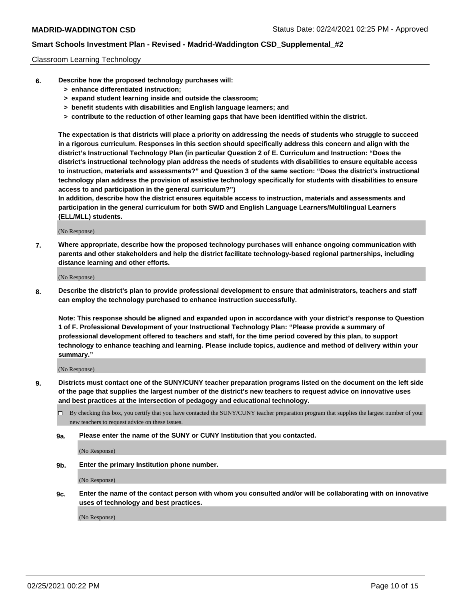## Classroom Learning Technology

- **6. Describe how the proposed technology purchases will:**
	- **> enhance differentiated instruction;**
	- **> expand student learning inside and outside the classroom;**
	- **> benefit students with disabilities and English language learners; and**
	- **> contribute to the reduction of other learning gaps that have been identified within the district.**

**The expectation is that districts will place a priority on addressing the needs of students who struggle to succeed in a rigorous curriculum. Responses in this section should specifically address this concern and align with the district's Instructional Technology Plan (in particular Question 2 of E. Curriculum and Instruction: "Does the district's instructional technology plan address the needs of students with disabilities to ensure equitable access to instruction, materials and assessments?" and Question 3 of the same section: "Does the district's instructional technology plan address the provision of assistive technology specifically for students with disabilities to ensure access to and participation in the general curriculum?")**

**In addition, describe how the district ensures equitable access to instruction, materials and assessments and participation in the general curriculum for both SWD and English Language Learners/Multilingual Learners (ELL/MLL) students.**

(No Response)

**7. Where appropriate, describe how the proposed technology purchases will enhance ongoing communication with parents and other stakeholders and help the district facilitate technology-based regional partnerships, including distance learning and other efforts.**

(No Response)

**8. Describe the district's plan to provide professional development to ensure that administrators, teachers and staff can employ the technology purchased to enhance instruction successfully.**

**Note: This response should be aligned and expanded upon in accordance with your district's response to Question 1 of F. Professional Development of your Instructional Technology Plan: "Please provide a summary of professional development offered to teachers and staff, for the time period covered by this plan, to support technology to enhance teaching and learning. Please include topics, audience and method of delivery within your summary."**

(No Response)

- **9. Districts must contact one of the SUNY/CUNY teacher preparation programs listed on the document on the left side of the page that supplies the largest number of the district's new teachers to request advice on innovative uses and best practices at the intersection of pedagogy and educational technology.**
	- By checking this box, you certify that you have contacted the SUNY/CUNY teacher preparation program that supplies the largest number of your new teachers to request advice on these issues.
	- **9a. Please enter the name of the SUNY or CUNY Institution that you contacted.**

(No Response)

**9b. Enter the primary Institution phone number.**

(No Response)

**9c. Enter the name of the contact person with whom you consulted and/or will be collaborating with on innovative uses of technology and best practices.**

(No Response)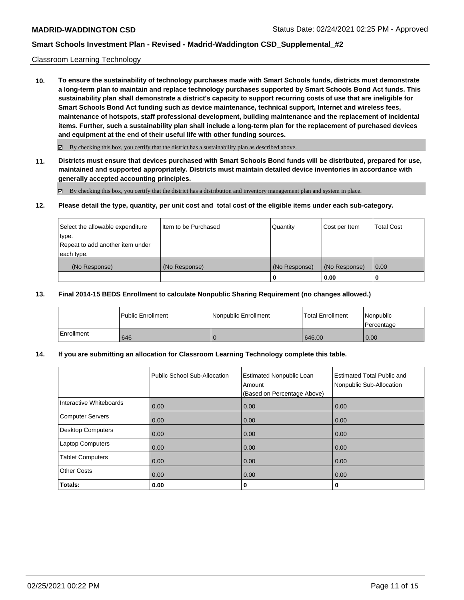## Classroom Learning Technology

**10. To ensure the sustainability of technology purchases made with Smart Schools funds, districts must demonstrate a long-term plan to maintain and replace technology purchases supported by Smart Schools Bond Act funds. This sustainability plan shall demonstrate a district's capacity to support recurring costs of use that are ineligible for Smart Schools Bond Act funding such as device maintenance, technical support, Internet and wireless fees, maintenance of hotspots, staff professional development, building maintenance and the replacement of incidental items. Further, such a sustainability plan shall include a long-term plan for the replacement of purchased devices and equipment at the end of their useful life with other funding sources.**

 $\boxtimes$  By checking this box, you certify that the district has a sustainability plan as described above.

**11. Districts must ensure that devices purchased with Smart Schools Bond funds will be distributed, prepared for use, maintained and supported appropriately. Districts must maintain detailed device inventories in accordance with generally accepted accounting principles.**

By checking this box, you certify that the district has a distribution and inventory management plan and system in place.

#### **12. Please detail the type, quantity, per unit cost and total cost of the eligible items under each sub-category.**

| Select the allowable expenditure<br>type.<br>Repeat to add another item under | Item to be Purchased | Quantity      | Cost per Item | <b>Total Cost</b> |
|-------------------------------------------------------------------------------|----------------------|---------------|---------------|-------------------|
| each type.<br>(No Response)                                                   | (No Response)        | (No Response) | (No Response) | 0.00              |
|                                                                               |                      | 0             | 0.00          |                   |

## **13. Final 2014-15 BEDS Enrollment to calculate Nonpublic Sharing Requirement (no changes allowed.)**

|            | l Public Enrollment | Nonpublic Enrollment | <b>Total Enrollment</b> | Nonpublic<br>l Percentage |
|------------|---------------------|----------------------|-------------------------|---------------------------|
| Enrollment | 646                 |                      | 646.00                  | 0.00                      |

## **14. If you are submitting an allocation for Classroom Learning Technology complete this table.**

|                          | Public School Sub-Allocation | <b>Estimated Nonpublic Loan</b><br>Amount<br>(Based on Percentage Above) | <b>Estimated Total Public and</b><br>Nonpublic Sub-Allocation |
|--------------------------|------------------------------|--------------------------------------------------------------------------|---------------------------------------------------------------|
| Interactive Whiteboards  | 0.00                         | 0.00                                                                     | 0.00                                                          |
| Computer Servers         | 0.00                         | 0.00                                                                     | 0.00                                                          |
| <b>Desktop Computers</b> | 0.00                         | 0.00                                                                     | 0.00                                                          |
| <b>Laptop Computers</b>  | 0.00                         | 0.00                                                                     | 0.00                                                          |
| <b>Tablet Computers</b>  | 0.00                         | 0.00                                                                     | 0.00                                                          |
| <b>Other Costs</b>       | 0.00                         | 0.00                                                                     | 0.00                                                          |
| Totals:                  | 0.00                         | 0                                                                        | 0                                                             |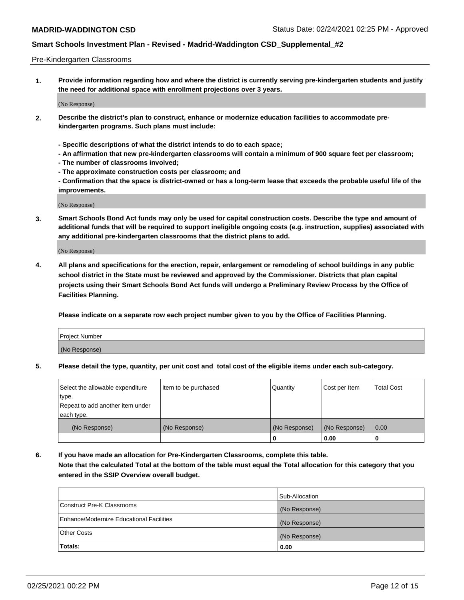## Pre-Kindergarten Classrooms

**1. Provide information regarding how and where the district is currently serving pre-kindergarten students and justify the need for additional space with enrollment projections over 3 years.**

(No Response)

- **2. Describe the district's plan to construct, enhance or modernize education facilities to accommodate prekindergarten programs. Such plans must include:**
	- **Specific descriptions of what the district intends to do to each space;**
	- **An affirmation that new pre-kindergarten classrooms will contain a minimum of 900 square feet per classroom;**
	- **The number of classrooms involved;**
	- **The approximate construction costs per classroom; and**
	- **Confirmation that the space is district-owned or has a long-term lease that exceeds the probable useful life of the improvements.**

(No Response)

**3. Smart Schools Bond Act funds may only be used for capital construction costs. Describe the type and amount of additional funds that will be required to support ineligible ongoing costs (e.g. instruction, supplies) associated with any additional pre-kindergarten classrooms that the district plans to add.**

(No Response)

**4. All plans and specifications for the erection, repair, enlargement or remodeling of school buildings in any public school district in the State must be reviewed and approved by the Commissioner. Districts that plan capital projects using their Smart Schools Bond Act funds will undergo a Preliminary Review Process by the Office of Facilities Planning.**

**Please indicate on a separate row each project number given to you by the Office of Facilities Planning.**

| Project Number |  |
|----------------|--|
| (No Response)  |  |
|                |  |

**5. Please detail the type, quantity, per unit cost and total cost of the eligible items under each sub-category.**

| Select the allowable expenditure | Item to be purchased | Quantity      | Cost per Item | <b>Total Cost</b> |
|----------------------------------|----------------------|---------------|---------------|-------------------|
| type.                            |                      |               |               |                   |
| Repeat to add another item under |                      |               |               |                   |
| each type.                       |                      |               |               |                   |
| (No Response)                    | (No Response)        | (No Response) | (No Response) | 0.00              |
|                                  |                      | U             | 0.00          |                   |

**6. If you have made an allocation for Pre-Kindergarten Classrooms, complete this table. Note that the calculated Total at the bottom of the table must equal the Total allocation for this category that you entered in the SSIP Overview overall budget.**

|                                          | Sub-Allocation |
|------------------------------------------|----------------|
| Construct Pre-K Classrooms               | (No Response)  |
| Enhance/Modernize Educational Facilities | (No Response)  |
| <b>Other Costs</b>                       | (No Response)  |
| Totals:                                  | 0.00           |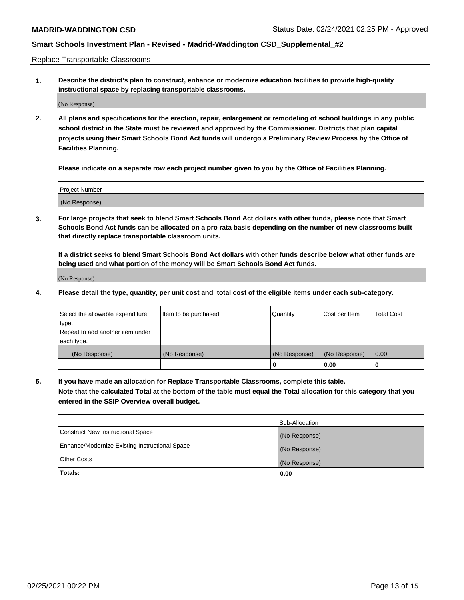Replace Transportable Classrooms

**1. Describe the district's plan to construct, enhance or modernize education facilities to provide high-quality instructional space by replacing transportable classrooms.**

(No Response)

**2. All plans and specifications for the erection, repair, enlargement or remodeling of school buildings in any public school district in the State must be reviewed and approved by the Commissioner. Districts that plan capital projects using their Smart Schools Bond Act funds will undergo a Preliminary Review Process by the Office of Facilities Planning.**

**Please indicate on a separate row each project number given to you by the Office of Facilities Planning.**

| Project Number |  |
|----------------|--|
|                |  |
|                |  |
|                |  |
|                |  |
| (No Response)  |  |
|                |  |
|                |  |
|                |  |

**3. For large projects that seek to blend Smart Schools Bond Act dollars with other funds, please note that Smart Schools Bond Act funds can be allocated on a pro rata basis depending on the number of new classrooms built that directly replace transportable classroom units.**

**If a district seeks to blend Smart Schools Bond Act dollars with other funds describe below what other funds are being used and what portion of the money will be Smart Schools Bond Act funds.**

(No Response)

**4. Please detail the type, quantity, per unit cost and total cost of the eligible items under each sub-category.**

| Select the allowable expenditure | Item to be purchased | Quantity      | Cost per Item | Total Cost |
|----------------------------------|----------------------|---------------|---------------|------------|
| ∣type.                           |                      |               |               |            |
| Repeat to add another item under |                      |               |               |            |
| each type.                       |                      |               |               |            |
| (No Response)                    | (No Response)        | (No Response) | (No Response) | 0.00       |
|                                  |                      | u             | 0.00          |            |

**5. If you have made an allocation for Replace Transportable Classrooms, complete this table. Note that the calculated Total at the bottom of the table must equal the Total allocation for this category that you entered in the SSIP Overview overall budget.**

|                                                | Sub-Allocation |
|------------------------------------------------|----------------|
| Construct New Instructional Space              | (No Response)  |
| Enhance/Modernize Existing Instructional Space | (No Response)  |
| Other Costs                                    | (No Response)  |
| Totals:                                        | 0.00           |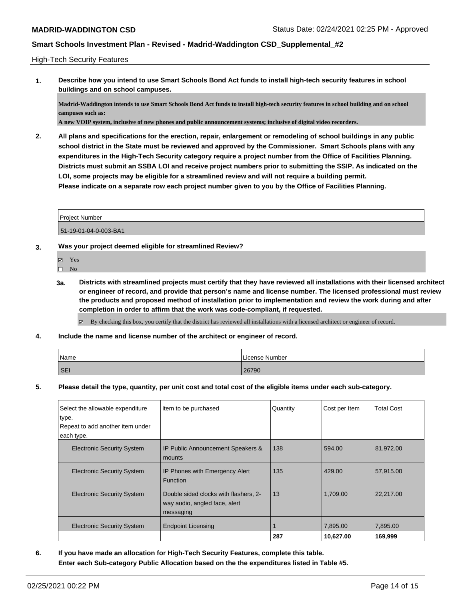## High-Tech Security Features

**1. Describe how you intend to use Smart Schools Bond Act funds to install high-tech security features in school buildings and on school campuses.**

**Madrid-Waddington intends to use Smart Schools Bond Act funds to install high-tech security features in school building and on school campuses such as:**

**A new VOIP system, inclusive of new phones and public announcement systems; inclusive of digital video recorders.**

**2. All plans and specifications for the erection, repair, enlargement or remodeling of school buildings in any public school district in the State must be reviewed and approved by the Commissioner. Smart Schools plans with any expenditures in the High-Tech Security category require a project number from the Office of Facilities Planning. Districts must submit an SSBA LOI and receive project numbers prior to submitting the SSIP. As indicated on the LOI, some projects may be eligible for a streamlined review and will not require a building permit. Please indicate on a separate row each project number given to you by the Office of Facilities Planning.**

| <b>Project Number</b> |  |
|-----------------------|--|
| 51-19-01-04-0-003-BA1 |  |

- **3. Was your project deemed eligible for streamlined Review?**
	- Yes
	- $\hfill \square$  No
	- **3a. Districts with streamlined projects must certify that they have reviewed all installations with their licensed architect or engineer of record, and provide that person's name and license number. The licensed professional must review the products and proposed method of installation prior to implementation and review the work during and after completion in order to affirm that the work was code-compliant, if requested.**
		- By checking this box, you certify that the district has reviewed all installations with a licensed architect or engineer of record.
- **4. Include the name and license number of the architect or engineer of record.**

| Name       | License Number |
|------------|----------------|
| <b>SEI</b> | 26790          |

**5. Please detail the type, quantity, per unit cost and total cost of the eligible items under each sub-category.**

| Select the allowable expenditure  | Item to be purchased                  | Quantity | Cost per Item | <b>Total Cost</b> |
|-----------------------------------|---------------------------------------|----------|---------------|-------------------|
| type.                             |                                       |          |               |                   |
| Repeat to add another item under  |                                       |          |               |                   |
| each type.                        |                                       |          |               |                   |
| <b>Electronic Security System</b> | IP Public Announcement Speakers &     | 138      | 594.00        | 81,972.00         |
|                                   | mounts                                |          |               |                   |
| <b>Electronic Security System</b> | IP Phones with Emergency Alert        | 135      | 429.00        | 57,915.00         |
|                                   | Function                              |          |               |                   |
| <b>Electronic Security System</b> | Double sided clocks with flashers, 2- | 13       | 1.709.00      | 22.217.00         |
|                                   | way audio, angled face, alert         |          |               |                   |
|                                   | messaging                             |          |               |                   |
|                                   |                                       |          |               |                   |
| <b>Electronic Security System</b> | <b>Endpoint Licensing</b>             |          | 7,895.00      | 7,895.00          |
|                                   |                                       | 287      | 10,627.00     | 169,999           |

**6. If you have made an allocation for High-Tech Security Features, complete this table. Enter each Sub-category Public Allocation based on the the expenditures listed in Table #5.**